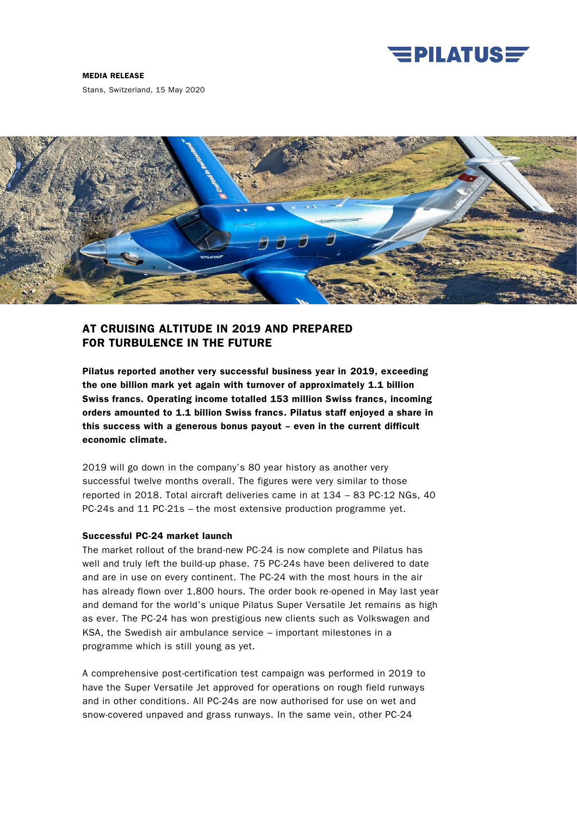

Stans, Switzerland, 15 May 2020



# AT CRUISING ALTITUDE IN 2019 AND PREPARED FOR TURBULENCE IN THE FUTURE

Pilatus reported another very successful business year in 2019, exceeding the one billion mark yet again with turnover of approximately 1.1 billion Swiss francs. Operating income totalled 153 million Swiss francs, incoming orders amounted to 1.1 billion Swiss francs. Pilatus staff enjoyed a share in this success with a generous bonus payout – even in the current difficult economic climate.

2019 will go down in the company's 80 year history as another very successful twelve months overall. The figures were very similar to those reported in 2018. Total aircraft deliveries came in at 134 – 83 PC-12 NGs, 40 PC-24s and 11 PC-21s – the most extensive production programme yet.

# Successful PC-24 market launch

The market rollout of the brand-new PC-24 is now complete and Pilatus has well and truly left the build-up phase. 75 PC-24s have been delivered to date and are in use on every continent. The PC-24 with the most hours in the air has already flown over 1,800 hours. The order book re-opened in May last year and demand for the world's unique Pilatus Super Versatile Jet remains as high as ever. The PC-24 has won prestigious new clients such as Volkswagen and KSA, the Swedish air ambulance service – important milestones in a programme which is still young as yet.

A comprehensive post-certification test campaign was performed in 2019 to have the Super Versatile Jet approved for operations on rough field runways and in other conditions. All PC-24s are now authorised for use on wet and snow-covered unpaved and grass runways. In the same vein, other PC-24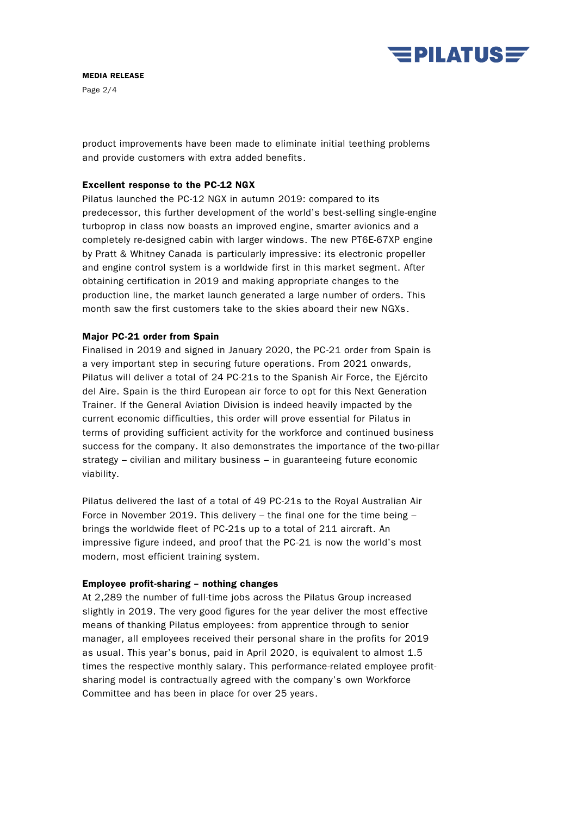

Page 2/4

product improvements have been made to eliminate initial teething problems and provide customers with extra added benefits.

### Excellent response to the PC-12 NGX

Pilatus launched the PC-12 NGX in autumn 2019: compared to its predecessor, this further development of the world's best-selling single-engine turboprop in class now boasts an improved engine, smarter avionics and a completely re-designed cabin with larger windows. The new PT6E-67XP engine by Pratt & Whitney Canada is particularly impressive: its electronic propeller and engine control system is a worldwide first in this market segment. After obtaining certification in 2019 and making appropriate changes to the production line, the market launch generated a large number of orders. This month saw the first customers take to the skies aboard their new NGXs.

### Major PC-21 order from Spain

Finalised in 2019 and signed in January 2020, the PC-21 order from Spain is a very important step in securing future operations. From 2021 onwards, Pilatus will deliver a total of 24 PC-21s to the Spanish Air Force, the Ejército del Aire. Spain is the third European air force to opt for this Next Generation Trainer. If the General Aviation Division is indeed heavily impacted by the current economic difficulties, this order will prove essential for Pilatus in terms of providing sufficient activity for the workforce and continued business success for the company. It also demonstrates the importance of the two-pillar strategy – civilian and military business – in guaranteeing future economic viability.

Pilatus delivered the last of a total of 49 PC-21s to the Royal Australian Air Force in November 2019. This delivery – the final one for the time being – brings the worldwide fleet of PC-21s up to a total of 211 aircraft. An impressive figure indeed, and proof that the PC-21 is now the world's most modern, most efficient training system.

### Employee profit-sharing – nothing changes

At 2,289 the number of full-time jobs across the Pilatus Group increased slightly in 2019. The very good figures for the year deliver the most effective means of thanking Pilatus employees: from apprentice through to senior manager, all employees received their personal share in the profits for 2019 as usual. This year's bonus, paid in April 2020, is equivalent to almost 1.5 times the respective monthly salary. This performance-related employee profitsharing model is contractually agreed with the company's own Workforce Committee and has been in place for over 25 years.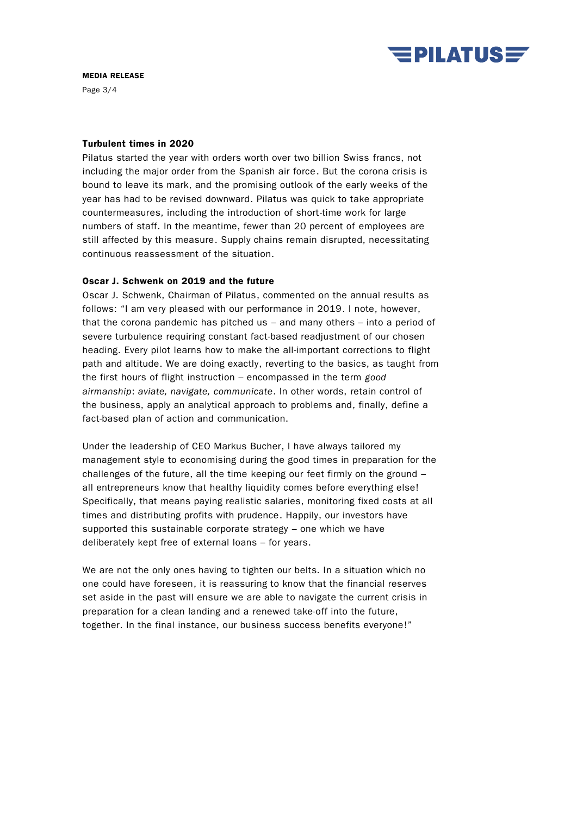

Page 3/4

### Turbulent times in 2020

Pilatus started the year with orders worth over two billion Swiss francs, not including the major order from the Spanish air force. But the corona crisis is bound to leave its mark, and the promising outlook of the early weeks of the year has had to be revised downward. Pilatus was quick to take appropriate countermeasures, including the introduction of short-time work for large numbers of staff. In the meantime, fewer than 20 percent of employees are still affected by this measure. Supply chains remain disrupted, necessitating continuous reassessment of the situation.

# Oscar J. Schwenk on 2019 and the future

Oscar J. Schwenk, Chairman of Pilatus, commented on the annual results as follows: "I am very pleased with our performance in 2019. I note, however, that the corona pandemic has pitched us – and many others – into a period of severe turbulence requiring constant fact-based readjustment of our chosen heading. Every pilot learns how to make the all-important corrections to flight path and altitude. We are doing exactly, reverting to the basics, as taught from the first hours of flight instruction – encompassed in the term good airmanship: aviate, navigate, communicate. In other words, retain control of the business, apply an analytical approach to problems and, finally, define a fact-based plan of action and communication.

Under the leadership of CEO Markus Bucher, I have always tailored my management style to economising during the good times in preparation for the challenges of the future, all the time keeping our feet firmly on the ground – all entrepreneurs know that healthy liquidity comes before everything else! Specifically, that means paying realistic salaries, monitoring fixed costs at all times and distributing profits with prudence. Happily, our investors have supported this sustainable corporate strategy – one which we have deliberately kept free of external loans – for years.

We are not the only ones having to tighten our belts. In a situation which no one could have foreseen, it is reassuring to know that the financial reserves set aside in the past will ensure we are able to navigate the current crisis in preparation for a clean landing and a renewed take-off into the future, together. In the final instance, our business success benefits everyone!"